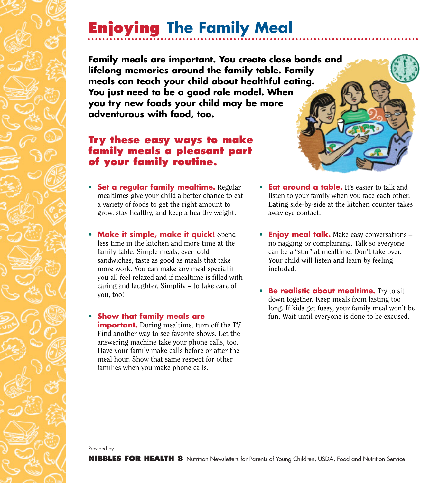## **Enjoying The Family Meal**

**Family meals are important. You create close bonds and lifelong memories around the family table. Family meals can teach your child about healthful eating. You just need to be a good role model. When you try new foods your child may be more adventurous with food, too.**

## **Try these easy ways to make family meals a pleasant part of your family routine.**

- **Set a regular family mealtime.** Regular mealtimes give your child a better chance to eat a variety of foods to get the right amount to grow, stay healthy, and keep a healthy weight.
- **Make it simple, make it quick!** Spend less time in the kitchen and more time at the family table. Simple meals, even cold sandwiches, taste as good as meals that take more work. You can make any meal special if you all feel relaxed and if mealtime is filled with caring and laughter. Simplify – to take care of you, too!
- **Show that family meals are important.** During mealtime, turn off the TV. Find another way to see favorite shows. Let the answering machine take your phone calls, too. Have your family make calls before or after the meal hour. Show that same respect for other families when you make phone calls.
- **Eat around a table.** It's easier to talk and listen to your family when you face each other. Eating side-by-side at the kitchen counter takes away eye contact.
- **Enjoy meal talk.** Make easy conversations no nagging or complaining. Talk so everyone can be a "star" at mealtime. Don't take over. Your child will listen and learn by feeling included.
- **Be realistic about mealtime.** Try to sit down together. Keep meals from lasting too long. If kids get fussy, your family meal won't be fun. Wait until everyone is done to be excused.